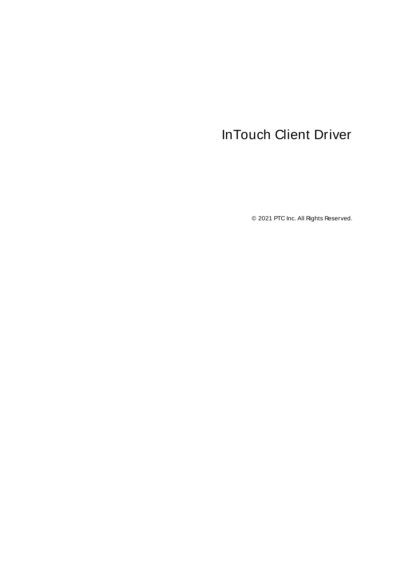# <span id="page-0-0"></span>InTouch Client Driver

© 2021 PTC Inc. All Rights Reserved.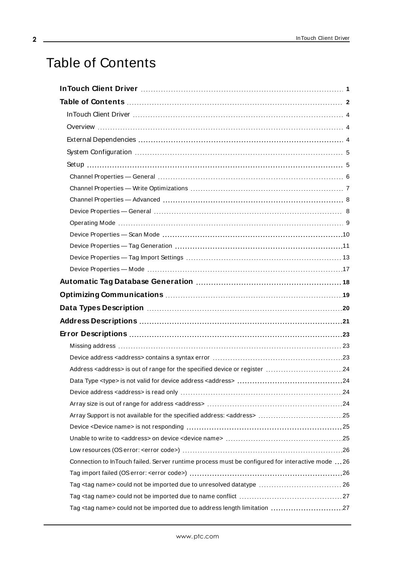# <span id="page-1-0"></span>Table of Contents

<u> 1989 - Johann Barn, mars ann an t-A</u>

| Connection to InTouch failed. Server runtime process must be configured for interactive mode  26 |  |
|--------------------------------------------------------------------------------------------------|--|
|                                                                                                  |  |
| Tag <tag name=""> could not be imported due to unresolved datatype  26</tag>                     |  |
|                                                                                                  |  |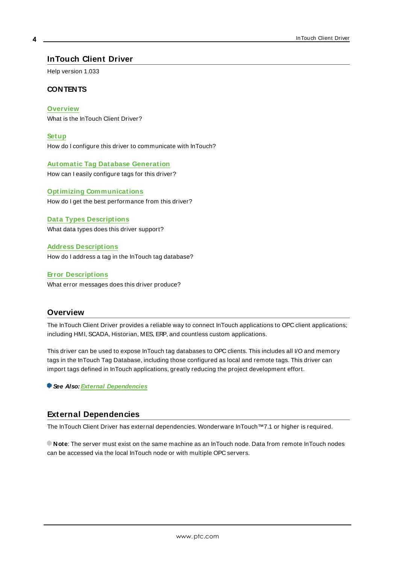## <span id="page-3-0"></span>**InTouch Client Driver**

Help version 1.033

#### **CONTENTS**

**[Overview](#page-3-1)**

What is the InTouch Client Driver?

**[Setup](#page-4-1)** How do I configure this driver to communicate with InTouch?

**Automatic Tag Database [Generation](#page-17-0)** How can I easily configure tags for this driver?

**Optimizing [Communications](#page-18-0)** How do I get the best performance from this driver?

**Data Types [Descriptions](#page-19-0)** What data types does this driver support?

**Address [Descriptions](#page-20-0)** How do I address a tag in the InTouch tag database?

**Error [Descriptions](#page-22-0)** What error messages does this driver produce?

# <span id="page-3-1"></span>**Overview**

The InTouch Client Driver provides a reliable way to connect InTouch applications to OPC client applications; including HMI, SCADA, Historian, MES, ERP, and countless custom applications.

This driver can be used to expose InTouch tag databases to OPC clients. This includes all I/O and memory tags in the InTouch Tag Database, including those configured as local and remote tags. This driver can import tags defined in InTouch applications, greatly reducing the project development effort.

**See Also: External [Dependencies](#page-3-2)**

## <span id="page-3-2"></span>**External Dependencies**

The InTouch Client Driver has external dependencies. Wonderware InTouch™7.1 or higher is required.

**Note**: The server must exist on the same machine as an InTouch node. Data from remote InTouch nodes can be accessed via the local InTouch node or with multiple OPC servers.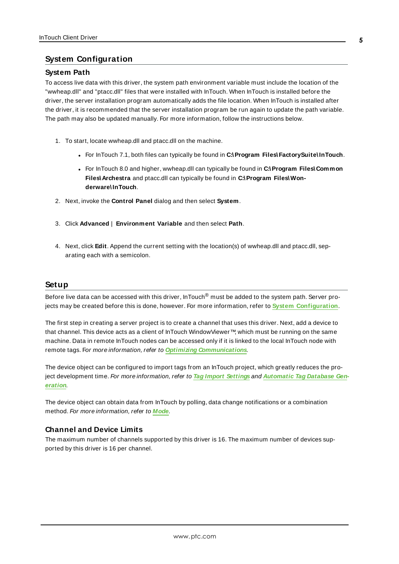## <span id="page-4-2"></span><span id="page-4-0"></span>**System Configuration**

#### **System Path**

To access live data with this driver, the system path environment variable must include the location of the "wwheap.dll" and "ptacc.dll" files that were installed with InTouch. When InTouch is installed before the driver, the server installation program automatically adds the file location. When InTouch is installed after the driver, it is recommended that the server installation program be run again to update the path variable. The path may also be updated manually. For more information, follow the instructions below.

- 1. To start, locate wwheap.dll and ptacc.dll on the machine.
	- <sup>l</sup> For InTouch 7.1, both files can typically be found in **C:\Program Files\FactorySuite\InTouch**.
	- <sup>l</sup> For InTouch 8.0 and higher, wwheap.dll can typically be found in **C:\Program Files\Common Files\Archestra** and ptacc.dll can typically be found in **C:\Program Files\Wonderware\InTouch**.
- 2. Next, invoke the **Control Panel** dialog and then select **System**.
- 3. Click **Advanced** | **Environment Variable** and then select **Path**.
- 4. Next, click **Edit**. Append the current setting with the location(s) of wwheap.dll and ptacc.dll, separating each with a semicolon.

#### <span id="page-4-1"></span>**Setup**

Before live data can be accessed with this driver, InTouch<sup>®</sup> must be added to the system path. Server projects may be created before this is done, however. For more information, refer to **System [Configuration](#page-4-0)**.

The first step in creating a server project is to create a channel that uses this driver. Next, add a device to that channel. This device acts as a client of InTouch WindowViewer™, which must be running on the same machine. Data in remote InTouch nodes can be accessed only if it is linked to the local InTouch node with remote tags. For more information, refer to **Optimizing [Communications](#page-18-0)**.

The device object can be configured to import tags from an InTouch project, which greatly reduces the project development time. For more information, refer to **Tag Import [Settings](#page-12-0)** and **[Automatic](#page-17-0) Tag Database Gen[eration](#page-17-0)**.

The device object can obtain data from InTouch by polling, data change notifications or a combination method. For more information, refer to **[Mode](#page-16-0)**.

#### **Channel and Device Limits**

The maximum number of channels supported by this driver is 16. The maximum number of devices supported by this driver is 16 per channel.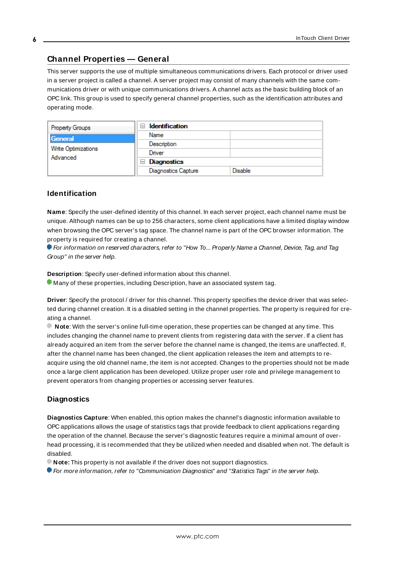# <span id="page-5-0"></span>**Channel Properties — General**

This server supports the use of multiple simultaneous communications drivers. Each protocol or driver used in a server project is called a channel. A server project may consist of many channels with the same communications driver or with unique communications drivers. A channel acts as the basic building block of an OPC link. This group is used to specify general channel properties, such as the identification attributes and operating mode.

| <b>Property Groups</b>          | <b>Identification</b><br>-1             |                |
|---------------------------------|-----------------------------------------|----------------|
| General                         | Name                                    |                |
|                                 | Description                             |                |
| Write Optimizations<br>Advanced | Driver                                  |                |
|                                 | Diagnostics<br>$\overline{\phantom{a}}$ |                |
|                                 | <b>Diagnostics Capture</b>              | <b>Disable</b> |

## **Identification**

**Name**: Specify the user-defined identity of this channel. In each server project, each channel name must be unique. Although names can be up to 256 characters, some client applications have a limited display window when browsing the OPC server's tag space. The channel name is part of the OPC browser information. The property is required for creating a channel.

For information on reserved characters, refer to "How To... Properly Name a Channel, Device, Tag, and Tag Group" in the server help.

**Description**: Specify user-defined information about this channel.

Many of these properties, including Description, have an associated system tag.

**Driver**: Specify the protocol / driver for this channel. This property specifies the device driver that was selected during channel creation. It is a disabled setting in the channel properties. The property is required for creating a channel.

**Note**: With the server's online full-time operation, these properties can be changed at any time. This includes changing the channel name to prevent clients from registering data with the server. If a client has already acquired an item from the server before the channel name is changed, the items are unaffected. If, after the channel name has been changed, the client application releases the item and attempts to reacquire using the old channel name, the item is not accepted. Changes to the properties should not be made once a large client application has been developed. Utilize proper user role and privilege management to prevent operators from changing properties or accessing server features.

#### **Diagnostics**

**Diagnostics Capture**: When enabled, this option makes the channel's diagnostic information available to OPC applications allows the usage of statistics tags that provide feedback to client applications regarding the operation of the channel. Because the server's diagnostic features require a minimal amount of overhead processing, it is recommended that they be utilized when needed and disabled when not. The default is disabled.

**Note:** This property is not available if the driver does not support diagnostics.

**• For more information, refer to "Communication Diagnostics" and "Statistics Tags" in the server help.**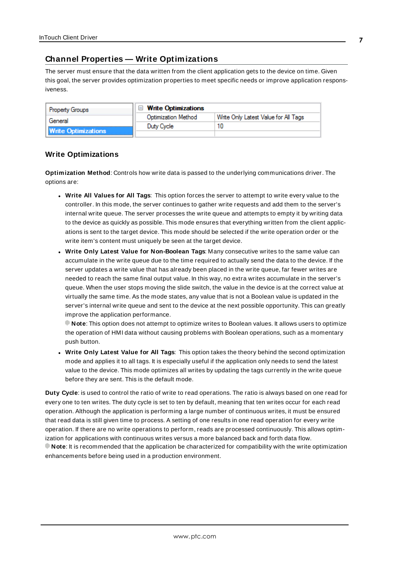# <span id="page-6-0"></span>**Channel Properties — Write Optimizations**

The server must ensure that the data written from the client application gets to the device on time. Given this goal, the server provides optimization properties to meet specific needs or improve application responsiveness.

| <b>Property Groups</b>     | $\Box$ Write Optimizations |                                      |
|----------------------------|----------------------------|--------------------------------------|
| General                    | <b>Optimization Method</b> | Write Only Latest Value for All Tags |
|                            | Duty Cycle                 |                                      |
| <b>Write Optimizations</b> |                            |                                      |

## **Write Optimizations**

**Optimization Method**: Controls how write data is passed to the underlying communications driver. The options are:

- <sup>l</sup> **Write All Values for All Tags**: This option forces the server to attempt to write every value to the controller. In this mode, the server continues to gather write requests and add them to the server's internal write queue. The server processes the write queue and attempts to empty it by writing data to the device as quickly as possible. This mode ensures that everything written from the client applications is sent to the target device. This mode should be selected if the write operation order or the write item's content must uniquely be seen at the target device.
- <sup>l</sup> **Write Only Latest Value for Non-Boolean Tags**: Many consecutive writes to the same value can accumulate in the write queue due to the time required to actually send the data to the device. If the server updates a write value that has already been placed in the write queue, far fewer writes are needed to reach the same final output value. In this way, no extra writes accumulate in the server's queue. When the user stops moving the slide switch, the value in the device is at the correct value at virtually the same time. As the mode states, any value that is not a Boolean value is updated in the server's internal write queue and sent to the device at the next possible opportunity. This can greatly improve the application performance.

**Note**: This option does not attempt to optimize writes to Boolean values. It allows users to optimize the operation of HMI data without causing problems with Boolean operations, such as a momentary push button.

<sup>l</sup> **Write Only Latest Value for All Tags**: This option takes the theory behind the second optimization mode and applies it to all tags. It is especially useful if the application only needs to send the latest value to the device. This mode optimizes all writes by updating the tags currently in the write queue before they are sent. This is the default mode.

**Duty Cycle**: is used to control the ratio of write to read operations. The ratio is always based on one read for every one to ten writes. The duty cycle is set to ten by default, meaning that ten writes occur for each read operation. Although the application is performing a large number of continuous writes, it must be ensured that read data is still given time to process. A setting of one results in one read operation for every write operation. If there are no write operations to perform, reads are processed continuously. This allows optimization for applications with continuous writes versus a more balanced back and forth data flow. **Note**: It is recommended that the application be characterized for compatibility with the write optimization enhancements before being used in a production environment.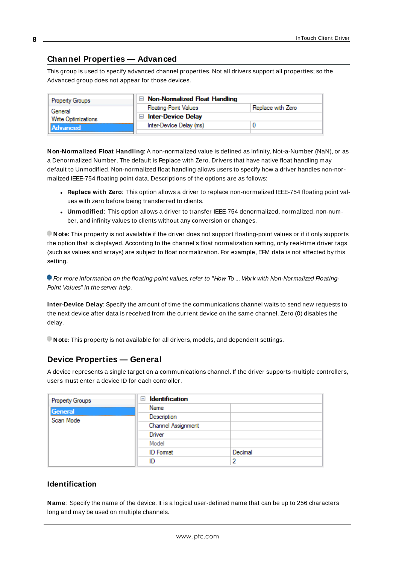# <span id="page-7-0"></span>**Channel Properties — Advanced**

This group is used to specify advanced channel properties. Not all drivers support all properties; so the Advanced group does not appear for those devices.

| <b>Property Groups</b> | Non-Normalized Float Handling |                   |
|------------------------|-------------------------------|-------------------|
| General                | <b>Floating-Point Values</b>  | Replace with Zero |
| Write Optimizations    | <b>Inter-Device Delay</b>     |                   |
| <b>Advanced</b>        | Inter-Device Delay (ms)       |                   |
|                        |                               |                   |

**Non-Normalized Float Handling**: A non-normalized value is defined as Infinity, Not-a-Number (NaN), or as a Denormalized Number. The default is Replace with Zero. Drivers that have native float handling may default to Unmodified. Non-normalized float handling allows users to specify how a driver handles non-normalized IEEE-754 floating point data. Descriptions of the options are as follows:

- <sup>l</sup> **Replace with Zero**: This option allows a driver to replace non-normalized IEEE-754 floating point values with zero before being transferred to clients.
- <sup>l</sup> **Unmodified**: This option allows a driver to transfer IEEE-754 denormalized, normalized, non-number, and infinity values to clients without any conversion or changes.

**Note:** This property is not available if the driver does not support floating-point values or if it only supports the option that is displayed. According to the channel's float normalization setting, only real-time driver tags (such as values and arrays) are subject to float normalization. For example, EFM data is not affected by this setting.

For more information on the floating-point values, refer to "How To ... Work with Non-Normalized Floating-Point Values" in the server help.

**Inter-Device Delay**: Specify the amount of time the communications channel waits to send new requests to the next device after data is received from the current device on the same channel. Zero (0) disables the delay.

<span id="page-7-1"></span>**Note:** This property is not available for all drivers, models, and dependent settings.

# **Device Properties — General**

A device represents a single target on a communications channel. If the driver supports multiple controllers, users must enter a device ID for each controller.

| Property Groups | <b>Identification</b><br>- |         |
|-----------------|----------------------------|---------|
| General         | Name                       |         |
| Scan Mode       | Description                |         |
|                 | Channel Assignment         |         |
|                 | Driver                     |         |
|                 | Model                      |         |
|                 | <b>ID</b> Format           | Decimal |
|                 | ID                         |         |

## **Identification**

<span id="page-7-2"></span>**Name**: Specify the name of the device. It is a logical user-defined name that can be up to 256 characters long and may be used on multiple channels.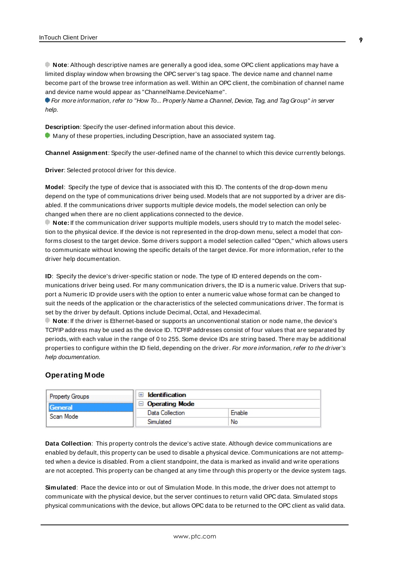**Note**: Although descriptive names are generally a good idea, some OPC client applications may have a limited display window when browsing the OPC server's tag space. The device name and channel name become part of the browse tree information as well. Within an OPC client, the combination of channel name and device name would appear as "ChannelName.DeviceName".

For more information, refer to "How To... Properly Name a Channel, Device, Tag, and Tag Group" in server help.

**Description**: Specify the user-defined information about this device.

<span id="page-8-1"></span>**Many of these properties, including Description, have an associated system tag.** 

<span id="page-8-3"></span>**Channel Assignment**: Specify the user-defined name of the channel to which this device currently belongs.

<span id="page-8-5"></span>**Driver**: Selected protocol driver for this device.

**Model**: Specify the type of device that is associated with this ID. The contents of the drop-down menu depend on the type of communications driver being used. Models that are not supported by a driver are disabled. If the communications driver supports multiple device models, the model selection can only be changed when there are no client applications connected to the device.

**Note:** If the communication driver supports multiple models, users should try to match the model selection to the physical device. If the device is not represented in the drop-down menu, select a model that conforms closest to the target device. Some drivers support a model selection called "Open," which allows users to communicate without knowing the specific details of the target device. For more information, refer to the driver help documentation.

<span id="page-8-4"></span>**ID**: Specify the device's driver-specific station or node. The type of ID entered depends on the communications driver being used. For many communication drivers, the ID is a numeric value. Drivers that support a Numeric ID provide users with the option to enter a numeric value whose format can be changed to suit the needs of the application or the characteristics of the selected communications driver. The format is set by the driver by default. Options include Decimal, Octal, and Hexadecimal.

**Note**: If the driver is Ethernet-based or supports an unconventional station or node name, the device's TCP/IPaddress may be used as the device ID. TCP/IPaddresses consist of four values that are separated by periods, with each value in the range of 0 to 255. Some device IDs are string based. There may be additional properties to configure within the ID field, depending on the driver. For more information, refer to the driver's help documentation.

#### <span id="page-8-0"></span>**Operating Mode**

| <b>Property Groups</b> | Identification        |        |
|------------------------|-----------------------|--------|
| General                | $\Box$ Operating Mode |        |
| Scan Mode              | Data Collection       | Enable |
|                        | Simulated             | No     |

<span id="page-8-2"></span>**Data Collection**: This property controls the device's active state. Although device communications are enabled by default, this property can be used to disable a physical device. Communications are not attempted when a device is disabled. From a client standpoint, the data is marked as invalid and write operations are not accepted. This property can be changed at any time through this property or the device system tags.

**Simulated**: Place the device into or out of Simulation Mode. In this mode, the driver does not attempt to communicate with the physical device, but the server continues to return valid OPC data. Simulated stops physical communications with the device, but allows OPC data to be returned to the OPC client as valid data.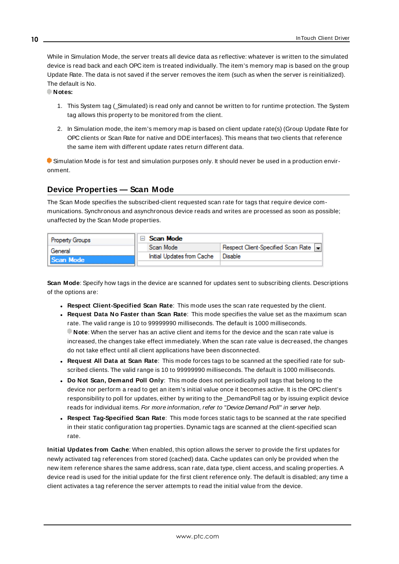<span id="page-9-5"></span>While in Simulation Mode, the server treats all device data as reflective: whatever is written to the simulated device is read back and each OPC item is treated individually. The item's memory map is based on the group Update Rate. The data is not saved if the server removes the item (such as when the server is reinitialized). The default is No.

**Notes:**

- 1. This System tag (\_Simulated) is read only and cannot be written to for runtime protection. The System tag allows this property to be monitored from the client.
- 2. In Simulation mode, the item's memory map is based on client update rate(s) (Group Update Rate for OPC clients or Scan Rate for native and DDEinterfaces). This means that two clients that reference the same item with different update rates return different data.

 Simulation Mode is for test and simulation purposes only. It should never be used in a production environment.

# <span id="page-9-0"></span>**Device Properties — Scan Mode**

The Scan Mode specifies the subscribed-client requested scan rate for tags that require device communications. Synchronous and asynchronous device reads and writes are processed as soon as possible; unaffected by the Scan Mode properties.

| <b>Property Groups</b> | $\Box$ Scan Mode           |                                    |
|------------------------|----------------------------|------------------------------------|
| General                | Scan Mode                  | Respect Client-Specified Scan Rate |
| Scan Mode              | Initial Updates from Cache | ' Disable                          |
|                        |                            |                                    |

<span id="page-9-4"></span>**Scan Mode**: Specify how tags in the device are scanned for updates sent to subscribing clients. Descriptions of the options are:

- <sup>l</sup> **Respect Client-Specified Scan Rate**: This mode uses the scan rate requested by the client.
- <sup>l</sup> **Request Data No Faster than Scan Rate**: This mode specifies the value set as the maximum scan rate. The valid range is 10 to 99999990 milliseconds. The default is 1000 milliseconds. **Note**: When the server has an active client and items for the device and the scan rate value is increased, the changes take effect immediately. When the scan rate value is decreased, the changes do not take effect until all client applications have been disconnected.
- <sup>l</sup> **Request All Data at Scan Rate**: This mode forces tags to be scanned at the specified rate for subscribed clients. The valid range is 10 to 99999990 milliseconds. The default is 1000 milliseconds.
- <span id="page-9-1"></span><sup>l</sup> **Do Not Scan, Demand Poll Only**: This mode does not periodically poll tags that belong to the device nor perform a read to get an item's initial value once it becomes active. It is the OPC client's responsibility to poll for updates, either by writing to the \_DemandPoll tag or by issuing explicit device reads for individual items. For more information, refer to "Device Demand Poll" in server help.
- <span id="page-9-3"></span><sup>l</sup> **Respect Tag-Specified Scan Rate**: This mode forces static tags to be scanned at the rate specified in their static configuration tag properties. Dynamic tags are scanned at the client-specified scan rate.

<span id="page-9-2"></span>**Initial Updates from Cache**: When enabled, this option allows the server to provide the first updates for newly activated tag references from stored (cached) data. Cache updates can only be provided when the new item reference shares the same address, scan rate, data type, client access, and scaling properties. A device read is used for the initial update for the first client reference only. The default is disabled; any time a client activates a tag reference the server attempts to read the initial value from the device.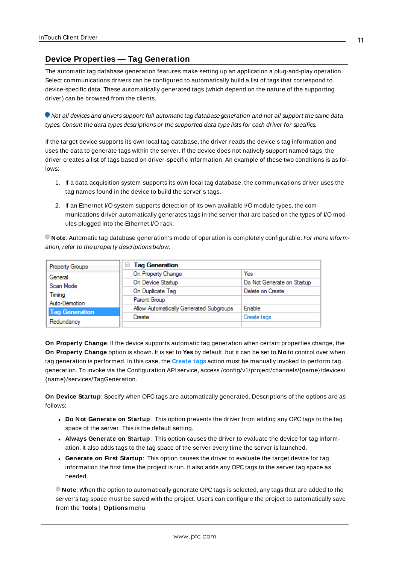# <span id="page-10-0"></span>**Device Properties — Tag Generation**

The automatic tag database generation features make setting up an application a plug-and-play operation. Select communications drivers can be configured to automatically build a list of tags that correspond to device-specific data. These automatically generated tags (which depend on the nature of the supporting driver) can be browsed from the clients.

Not all devices and drivers support full automatic tag database generation and not all support the same data types. Consult the data types descriptions or the supported data type lists for each driver for specifics.

If the target device supports its own local tag database, the driver reads the device's tag information and uses the data to generate tags within the server. If the device does not natively support named tags, the driver creates a list of tags based on driver-specific information. An example of these two conditions is as follows:

- 1. If a data acquisition system supports its own local tag database, the communications driver uses the tag names found in the device to build the server's tags.
- 2. If an Ethernet I/O system supports detection of its own available I/O module types, the communications driver automatically generates tags in the server that are based on the types of I/O modules plugged into the Ethernet I/O rack.

**Note**: Automatic tag database generation's mode of operation is completely configurable. For more information, refer to the property descriptions below.

| Property Groups       | <b>Tag Generation</b><br>$=$            |                            |
|-----------------------|-----------------------------------------|----------------------------|
| General               | On Property Change                      | Yes                        |
| Scan Mode             | On Device Startup                       | Do Not Generate on Startup |
| Timina                | On Duplicate Tag                        | Delete on Create           |
| Auto-Demotion         | Parent Group                            |                            |
| <b>Tag Generation</b> | Allow Automatically Generated Subgroups | Enable                     |
|                       | Create                                  | Create tags                |
| Redundancy            |                                         |                            |

<span id="page-10-3"></span>**On Property Change**: If the device supports automatic tag generation when certain properties change, the **On Property Change** option is shown. It is set to **Yes** by default, but it can be set to **No** to control over when tag generation is performed. In this case, the **Create tags** action must be manually invoked to perform tag generation. To invoke via the Configuration API service, access /config/v1/project/channels/{name}/devices/ {name}/services/TagGeneration.

<span id="page-10-2"></span>**On Device Startup**: Specify when OPC tags are automatically generated. Descriptions of the options are as follows:

- <span id="page-10-1"></span><sup>l</sup> **Do Not Generate on Startup**: This option prevents the driver from adding any OPC tags to the tag space of the server. This is the default setting.
- <sup>l</sup> **Always Generate on Startup**: This option causes the driver to evaluate the device for tag information. It also adds tags to the tag space of the server every time the server is launched.
- <sup>l</sup> **Generate on First Startup**: This option causes the driver to evaluate the target device for tag information the first time the project is run. It also adds any OPC tags to the server tag space as needed.

**Note**: When the option to automatically generate OPC tags is selected, any tags that are added to the server's tag space must be saved with the project. Users can configure the project to automatically save from the **Tools** | **Options** menu.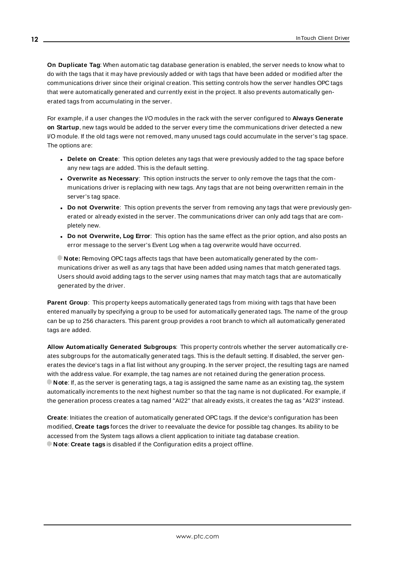<span id="page-11-3"></span>**On Duplicate Tag**: When automatic tag database generation is enabled, the server needs to know what to do with the tags that it may have previously added or with tags that have been added or modified after the communications driver since their original creation. This setting controls how the server handles OPC tags that were automatically generated and currently exist in the project. It also prevents automatically generated tags from accumulating in the server.

For example, if a user changes the I/O modules in the rack with the server configured to **Always Generate on Startup**, new tags would be added to the server every time the communications driver detected a new I/O module. If the old tags were not removed, many unused tags could accumulate in the server's tag space. The options are:

- <span id="page-11-2"></span>**.** Delete on Create: This option deletes any tags that were previously added to the tag space before any new tags are added. This is the default setting.
- <span id="page-11-4"></span><sup>l</sup> **Overwrite as Necessary**: This option instructs the server to only remove the tags that the communications driver is replacing with new tags. Any tags that are not being overwritten remain in the server's tag space.
- <sup>l</sup> **Do not Overwrite**: This option prevents the server from removing any tags that were previously generated or already existed in the server. The communications driver can only add tags that are completely new.
- <sup>l</sup> **Do not Overwrite, Log Error**: This option has the same effect as the prior option, and also posts an error message to the server's Event Log when a tag overwrite would have occurred.

**Note:** Removing OPC tags affects tags that have been automatically generated by the communications driver as well as any tags that have been added using names that match generated tags. Users should avoid adding tags to the server using names that may match tags that are automatically generated by the driver.

<span id="page-11-5"></span>**Parent Group:** This property keeps automatically generated tags from mixing with tags that have been entered manually by specifying a group to be used for automatically generated tags. The name of the group can be up to 256 characters. This parent group provides a root branch to which all automatically generated tags are added.

<span id="page-11-0"></span>**Allow Automatically Generated Subgroups**: This property controls whether the server automatically creates subgroups for the automatically generated tags. This is the default setting. If disabled, the server generates the device's tags in a flat list without any grouping. In the server project, the resulting tags are named with the address value. For example, the tag names are not retained during the generation process. **Note**: If, as the server is generating tags, a tag is assigned the same name as an existing tag, the system automatically increments to the next highest number so that the tag name is not duplicated. For example, if the generation process creates a tag named "AI22" that already exists, it creates the tag as "AI23" instead.

<span id="page-11-1"></span>**Create**: Initiates the creation of automatically generated OPC tags. If the device's configuration has been modified, **Create tags** forces the driver to reevaluate the device for possible tag changes. Its ability to be accessed from the System tags allows a client application to initiate tag database creation. **Note**: **Create tags** is disabled if the Configuration edits a project offline.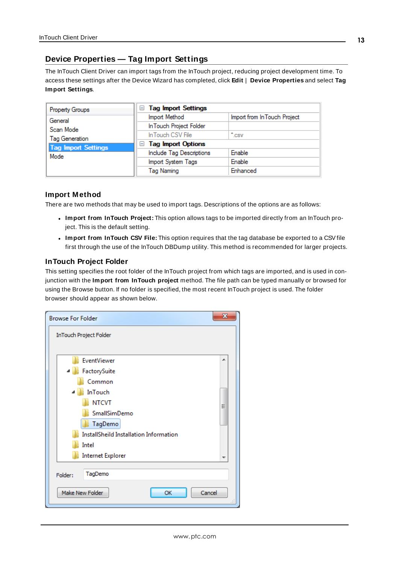# <span id="page-12-0"></span>**Device Properties — Tag Import Settings**

The InTouch Client Driver can import tags from the InTouch project, reducing project development time. To access these settings after the Device Wizard has completed, click **Edit** | **Device Properties** and select **Tag Import Settings**.

| Property Groups                    | <b>Tag Import Settings</b><br>$=$ |                              |
|------------------------------------|-----------------------------------|------------------------------|
| General                            | Import Method                     | Import from In Touch Project |
| Scan Mode                          | In Touch Project Folder           |                              |
| Tag Generation                     | In Touch CSV File                 | $\cdot$ .csv                 |
|                                    | <b>Tag Import Options</b><br>$=$  |                              |
| <b>Tag Import Settings</b><br>Mode | Include Tag Descriptions          | Enable                       |
|                                    | Import System Tags                | <b>Enable</b>                |
|                                    | <b>Tag Naming</b>                 | Enhanced                     |

#### **Import Method**

There are two methods that may be used to import tags. Descriptions of the options are as follows:

- <sup>l</sup> **Import from InTouch Project:** This option allows tags to be imported directly from an InTouch project. This is the default setting.
- <sup>l</sup> **Import from InTouch CSV File:** This option requires that the tag database be exported to a CSVfile first through the use of the InTouch DBDump utility. This method is recommended for larger projects.

## **InTouch Project Folder**

This setting specifies the root folder of the InTouch project from which tags are imported, and is used in conjunction with the **Import from InTouch project** method. The file path can be typed manually or browsed for using the Browse button. If no folder is specified, the most recent InTouch project is used. The folder browser should appear as shown below.

| <b>Browse For Folder</b>               | x |
|----------------------------------------|---|
| InTouch Project Folder                 |   |
|                                        |   |
| EventViewer                            | ┻ |
| FactorySuite                           |   |
| Common                                 |   |
| InTouch                                |   |
| <b>NTCVT</b>                           | Ξ |
| SmallSimDemo                           |   |
| TagDemo                                |   |
| InstallSheild Installation Information |   |
| Intel                                  |   |
| <b>Internet Explorer</b>               | ▼ |
| TagDemo<br>Folder:                     |   |
| Make New Folder<br>OK<br>Cancel        |   |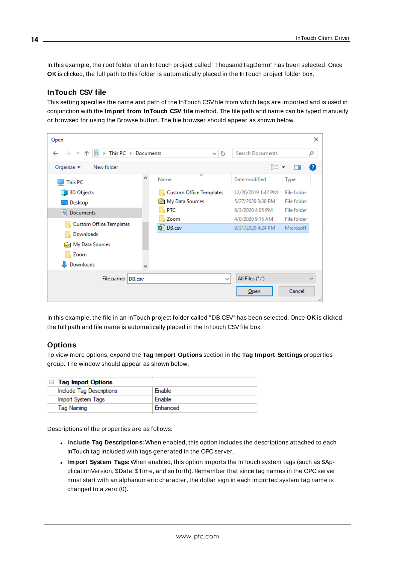In this example, the root folder of an InTouch project called "ThousandTagDemo" has been selected. Once **OK** is clicked, the full path to this folder is automatically placed in the InTouch project folder box.

#### **InTouch CSV file**

This setting specifies the name and path of the InTouch CSVfile from which tags are imported and is used in conjunction with the **Import from InTouch CSV file** method. The file path and name can be typed manually or browsed for using the Browse button. The file browser should appear as shown below.



In this example, the file in an InTouch project folder called "DB.CSV" has been selected. Once **OK** is clicked, the full path and file name is automatically placed in the InTouch CSVfile box.

#### **Options**

To view more options, expand the **Tag Import Options** section in the **Tag Import Settings** properties group. The window should appear as shown below.

| $\Box$ Tag Import Options |          |
|---------------------------|----------|
| Include Tag Descriptions  | Enable   |
| Import System Tags        | Enable   |
| Tag Naming                | Enhanced |

Descriptions of the properties are as follows:

- <sup>l</sup> **Include Tag Descriptions:** When enabled, this option includes the descriptions attached to each InTouch tag included with tags generated in the OPC server.
- <sup>l</sup> **Import System Tags:** When enabled, this option imports the InTouch system tags (such as \$ApplicationVersion, \$Date, \$Time, and so forth). Remember that since tag names in the OPC server must start with an alphanumeric character, the dollar sign in each imported system tag name is changed to a zero (0).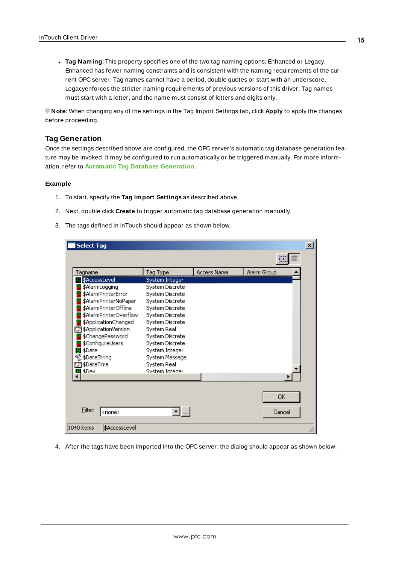<sup>l</sup> **Tag Naming:** This property specifies one of the two tag naming options: Enhanced or Legacy. Enhanced has fewer naming constraints and is consistent with the naming requirements of the current OPC server. Tag names cannot have a period, double quotes or start with an underscore. Legacyenforces the stricter naming requirements of previous versions of this driver. Tag names must start with a letter, and the name must consist of letters and digits only.

**Note:** When changing any of the settings in the Tag Import Settings tab, click **Apply** to apply the changes before proceeding.

#### **Tag Generation**

Once the settings described above are configured, the OPC server's automatic tag database generation feature may be invoked. It may be configured to run automatically or be triggered manually. For more information, refer to **Automatic Tag Database [Generation](#page-17-0)**.

#### **Example**

- 1. To start, specify the **Tag Import Settings** as described above.
- 2. Next, double click **Create** to trigger automatic tag database generation manually.
- 3. The tags defined in InTouch should appear as shown below.

| <b>Select Tag</b>                                                                                                                                                                                                            |                                                                                                                                                                                       |                    |              | $\mathbf{x}$ |
|------------------------------------------------------------------------------------------------------------------------------------------------------------------------------------------------------------------------------|---------------------------------------------------------------------------------------------------------------------------------------------------------------------------------------|--------------------|--------------|--------------|
|                                                                                                                                                                                                                              |                                                                                                                                                                                       |                    | 8-8-<br>m    |              |
| Tagname                                                                                                                                                                                                                      | Tag Type                                                                                                                                                                              | <b>Access Name</b> | Alarm Group  |              |
| \$AccessLevel<br>\$AlarmLogging<br>\$AlarmPrinterError<br>\$AlarmPrinterNoPaper<br>\$AlarmPrinterOffline<br>\$AlarmPrinterOverflow<br>\$ApplicationChanged<br>图 \$ApplicationVersion<br>\$ChangePassword<br>\$ConfigureUsers | System Integer<br>System Discrete<br>System Discrete<br>System Discrete<br>System Discrete<br>System Discrete<br>System Discrete<br>System Real<br>System Discrete<br>System Discrete |                    |              |              |
| 團 \$Date<br>on \$DateString<br>∑4 \$DateTime<br><b>KDav</b>                                                                                                                                                                  | System Integer<br>System Message<br>System Real<br><b>System Intener</b>                                                                                                              |                    |              |              |
| <b>Filter:</b><br><none><br/>1040 items<br/>\$AccessLevel</none>                                                                                                                                                             |                                                                                                                                                                                       |                    | OΚ<br>Cancel |              |

4. After the tags have been imported into the OPC server, the dialog should appear as shown below.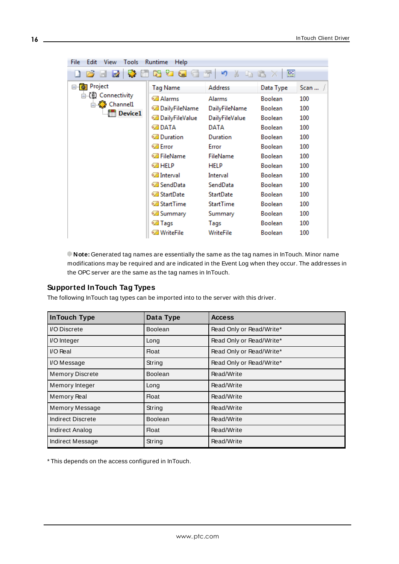| Edit<br><b>View</b><br>Tools<br>Runtime<br><b>Help</b><br>File |                        |                               |                |      |  |  |  |
|----------------------------------------------------------------|------------------------|-------------------------------|----------------|------|--|--|--|
| - 62<br>a d                                                    | * 16 4 4<br>$\sqrt{2}$ | רש<br>ta fr<br>$\frac{1}{20}$ | 匷              |      |  |  |  |
| ⊟ <b>n</b> Project                                             | <b>Tag Name</b>        | <b>Address</b>                | Data Type      | Scan |  |  |  |
| ⊟ (॥) Connectivity                                             | <b>⊘ Alarms</b>        | Alarms                        | <b>Boolean</b> | 100  |  |  |  |
| ⊟ ई Channel1                                                   | ia DailyFileName       | DailyFileName                 | <b>Boolean</b> | 100  |  |  |  |
| <b>In Device1</b>                                              | ia DailyFileValue      | DailyFileValue                | <b>Boolean</b> | 100  |  |  |  |
|                                                                | © DATA                 | DATA                          | <b>Boolean</b> | 100  |  |  |  |
|                                                                | <b>⊘</b> Duration      | Duration                      | <b>Boolean</b> | 100  |  |  |  |
|                                                                | ©⊿ Error               | Error                         | <b>Boolean</b> | 100  |  |  |  |
|                                                                | ⊘ FileName             | <b>FileName</b>               | <b>Boolean</b> | 100  |  |  |  |
|                                                                | ⊘ HELP                 | HELP                          | <b>Boolean</b> | 100  |  |  |  |
|                                                                | <b>⊘</b> Interval      | Interval                      | <b>Boolean</b> | 100  |  |  |  |
|                                                                | t⊠ SendData            | SendData                      | <b>Boolean</b> | 100  |  |  |  |
|                                                                | <b>⊘ StartDate</b>     | <b>StartDate</b>              | <b>Boolean</b> | 100  |  |  |  |
|                                                                | <b>Ø</b> StartTime     | <b>StartTime</b>              | <b>Boolean</b> | 100  |  |  |  |
|                                                                | <b>⊘</b> Summary       | Summary                       | <b>Boolean</b> | 100  |  |  |  |
|                                                                | ⊘ Tags                 | Tags                          | <b>Boolean</b> | 100  |  |  |  |
|                                                                | <b>⊘ WriteFile</b>     | WriteFile                     | <b>Boolean</b> | 100  |  |  |  |

**Note:** Generated tag names are essentially the same as the tag names in InTouch. Minor name modifications may be required and are indicated in the Event Log when they occur. The addresses in the OPC server are the same as the tag names in InTouch.

#### **Supported InTouch Tag Types**

The following InTouch tag types can be imported into to the server with this driver.

| <b>InTouch Type</b>    | Data Type      | <b>Access</b>            |
|------------------------|----------------|--------------------------|
| I/O Discrete           | <b>Boolean</b> | Read Only or Read/Write* |
| I/O Integer            | Long           | Read Only or Read/Write* |
| $VO Real$              | Float          | Read Only or Read/Write* |
| I/O Message            | String         | Read Only or Read/Write* |
| <b>Memory Discrete</b> | <b>Boolean</b> | Read/Write               |
| Memory Integer         | Long           | Read/Write               |
| <b>Memory Real</b>     | Float          | Read/Write               |
| Memory Message         | String         | Read/Write               |
| Indirect Discrete      | <b>Boolean</b> | Read/Write               |
| Indirect Analog        | Float          | Read/Write               |
| Indirect Message       | String         | Read/Write               |

\* This depends on the access configured in InTouch.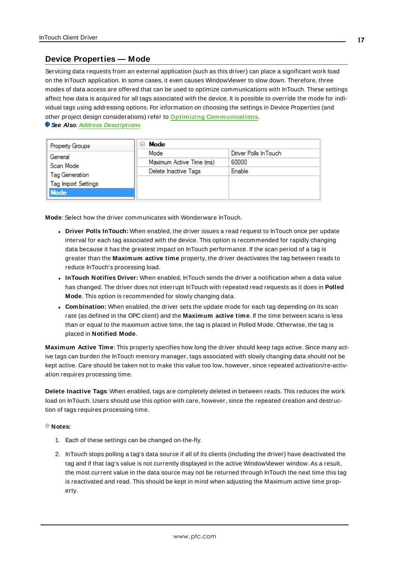### <span id="page-16-0"></span>**Device Properties — Mode**

Servicing data requests from an external application (such as this driver) can place a significant work load on the InTouch application. In some cases, it even causes WindowViewer to slow down. Therefore, three modes of data access are offered that can be used to optimize communications with InTouch. These settings affect how data is acquired for all tags associated with the device. It is possible to override the mode for individual tags using addressing options. For information on choosing the settings in Device Properties (and other project design considerations) refer to **Optimizing [Communications](#page-18-0)**.

**See Also**: **Address [Descriptions](#page-20-0)**

| <b>Property Groups</b>     | Mode<br>$\blacksquare$   |                       |
|----------------------------|--------------------------|-----------------------|
| General                    | Mode                     | Driver Polls In Touch |
| Scan Mode                  | Maximum Active Time (ms) | 60000                 |
| <b>Tag Generation</b>      | Delete Inactive Tags     | Enable                |
| <b>Tag Import Settings</b> |                          |                       |
| Mode                       |                          |                       |

**Mode**: Select how the driver communicates with Wonderware InTouch.

- <sup>l</sup> **Driver Polls InTouch:** When enabled, the driver issues a read request to InTouch once per update interval for each tag associated with the device. This option is recommended for rapidly changing data because it has the greatest impact on InTouch performance. If the scan period of a tag is greater than the **Maximum active time** property, the driver deactivates the tag between reads to reduce InTouch's processing load.
- **InTouch Notifies Driver:** When enabled, InTouch sends the driver a notification when a data value has changed. The driver does not interrupt InTouch with repeated read requests as it does in **Polled Mode**. This option is recommended for slowly changing data.
- **Combination:** When enabled, the driver sets the update mode for each tag depending on its scan rate (as defined in the OPC client) and the **Maximum active time**. If the time between scans is less than or equal to the maximum active time, the tag is placed in Polled Mode. Otherwise, the tag is placed in **Notified Mode**.

**Maximum Active Time**: This property specifies how long the driver should keep tags active. Since many active tags can burden the InTouch memory manager, tags associated with slowly changing data should not be kept active. Care should be taken not to make this value too low, however, since repeated activation/re-activation requires processing time.

**Delete Inactive Tags**: When enabled, tags are completely deleted in between reads. This reduces the work load on InTouch. Users should use this option with care, however, since the repeated creation and destruction of tags requires processing time.

#### **Notes:**

- 1. Each of these settings can be changed on-the-fly.
- 2. InTouch stops polling a tag's data source if all of its clients (including the driver) have deactivated the tag and if that tag's value is not currently displayed in the active WindowViewer window. As a result, the most current value in the data source may not be returned through InTouch the next time this tag is reactivated and read. This should be kept in mind when adjusting the Maximum active time property.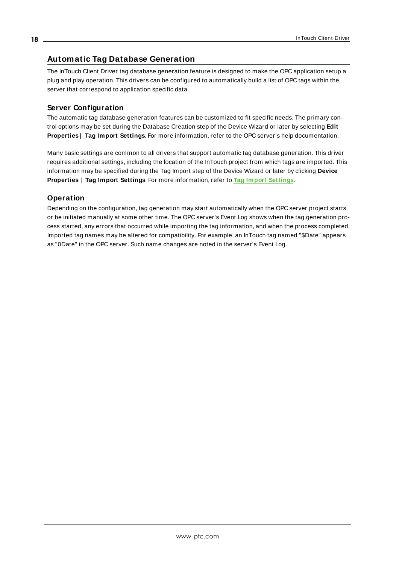# <span id="page-17-0"></span>**Automatic Tag Database Generation**

The InTouch Client Driver tag database generation feature is designed to make the OPC application setup a plug and play operation. This drivers can be configured to automatically build a list of OPC tags within the server that correspond to application specific data.

# **Server Configuration**

The automatic tag database generation features can be customized to fit specific needs. The primary control options may be set during the Database Creation step of the Device Wizard or later by selecting **Edit Properties** | **Tag Import Settings**. For more information, refer to the OPC server's help documentation.

Many basic settings are common to all drivers that support automatic tag database generation. This driver requires additional settings, including the location of the InTouch project from which tags are imported. This information may be specified during the Tag Import step of the Device Wizard or later by clicking **Device Properties** | **Tag Import Settings**. For more information, refer to **Tag Import [Settings](#page-12-0)**.

# **Operation**

Depending on the configuration, tag generation may start automatically when the OPC server project starts or be initiated manually at some other time. The OPC server's Event Log shows when the tag generation process started, any errors that occurred while importing the tag information, and when the process completed. Imported tag names may be altered for compatibility. For example, an InTouch tag named "\$Date" appears as "0Date" in the OPC server. Such name changes are noted in the server's Event Log.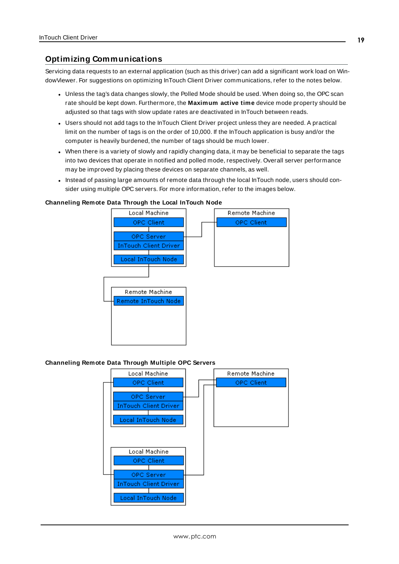# <span id="page-18-0"></span>**Optimizing Communications**

Servicing data requests to an external application (such as this driver) can add a significant work load on WindowViewer. For suggestions on optimizing InTouch Client Driver communications, refer to the notes below.

- Unless the tag's data changes slowly, the Polled Mode should be used. When doing so, the OPC scan rate should be kept down. Furthermore, the **Maximum active time** device mode property should be adjusted so that tags with slow update rates are deactivated in InTouch between reads.
- Users should not add tags to the InTouch Client Driver project unless they are needed. A practical limit on the number of tags is on the order of 10,000. If the InTouch application is busy and/or the computer is heavily burdened, the number of tags should be much lower.
- When there is a variety of slowly and rapidly changing data, it may be beneficial to separate the tags into two devices that operate in notified and polled mode, respectively. Overall server performance may be improved by placing these devices on separate channels, as well.
- Instead of passing large amounts of remote data through the local InTouch node, users should consider using multiple OPC servers. For more information, refer to the images below.

#### **Channeling Remote Data Through the Local InTouch Node**



#### **Channeling Remote Data Through Multiple OPC Servers**

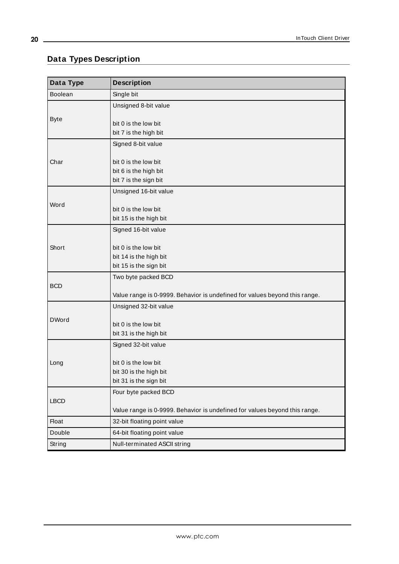# <span id="page-19-0"></span>**Data Types Description**

<u> 1989 - Johann Stein, marwolaethau a bhann an t-Amhair Aonaich an t-Amhair Aonaich an t-Amhair Aonaich an t-A</u>

<span id="page-19-9"></span><span id="page-19-8"></span><span id="page-19-7"></span><span id="page-19-6"></span><span id="page-19-5"></span><span id="page-19-4"></span><span id="page-19-3"></span><span id="page-19-2"></span><span id="page-19-1"></span>

| Data Type      | <b>Description</b>                                                         |
|----------------|----------------------------------------------------------------------------|
| <b>Boolean</b> | Single bit                                                                 |
|                | Unsigned 8-bit value                                                       |
| <b>Byte</b>    | bit 0 is the low bit                                                       |
|                | bit 7 is the high bit                                                      |
|                | Signed 8-bit value                                                         |
| Char           | bit 0 is the low bit                                                       |
|                | bit 6 is the high bit                                                      |
|                | bit 7 is the sign bit                                                      |
|                | Unsigned 16-bit value                                                      |
| Word           | bit 0 is the low bit                                                       |
|                | bit 15 is the high bit                                                     |
|                | Signed 16-bit value                                                        |
| Short          | bit 0 is the low bit                                                       |
|                | bit 14 is the high bit                                                     |
|                | bit 15 is the sign bit                                                     |
|                | Two byte packed BCD                                                        |
| <b>BCD</b>     | Value range is 0-9999. Behavior is undefined for values beyond this range. |
|                | Unsigned 32-bit value                                                      |
| <b>DWord</b>   |                                                                            |
|                | bit 0 is the low bit                                                       |
|                | bit 31 is the high bit                                                     |
|                | Signed 32-bit value                                                        |
| Long           | bit 0 is the low bit                                                       |
|                | bit 30 is the high bit                                                     |
|                | bit 31 is the sign bit                                                     |
|                | Four byte packed BCD                                                       |
| <b>LBCD</b>    | Value range is 0-9999. Behavior is undefined for values beyond this range. |
| <b>Float</b>   | 32-bit floating point value                                                |
| Double         | 64-bit floating point value                                                |
| String         | Null-terminated ASCII string                                               |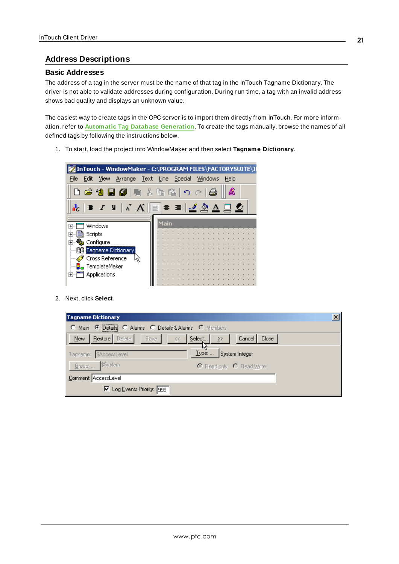#### <span id="page-20-0"></span>**Address Descriptions**

#### **Basic Addresses**

The address of a tag in the server must be the name of that tag in the InTouch Tagname Dictionary. The driver is not able to validate addresses during configuration. During run time, a tag with an invalid address shows bad quality and displays an unknown value.

The easiest way to create tags in the OPC server is to import them directly from InTouch. For more information, refer to **Automatic Tag Database [Generation](#page-17-0)**. To create the tags manually, browse the names of all defined tags by following the instructions below.

1. To start, load the project into WindowMaker and then select **Tagname Dictionary**.



2. Next, click **Select**.

| Tagname Dictionary                                     |                                |
|--------------------------------------------------------|--------------------------------|
| C Main C Details C Alarms C Details & Alarms C Members |                                |
| <b>Bestore</b> Delete Saye<br>$New -$<br>1/2           | Select<br>Cancel Close<br>≥>   |
| Tagname: \$AccessLevel                                 | <b>Type:</b><br>System Integer |
| Group:  \$System                                       | C Read only C Read Write       |
| Comment: AccessLevel                                   |                                |
| Ⅳ Log Events Priority: 999                             |                                |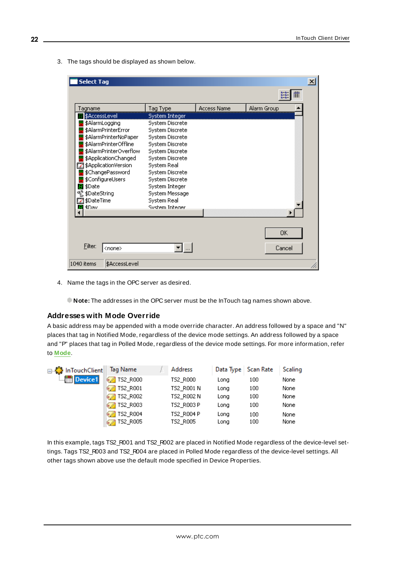3. The tags should be displayed as shown below.

| <b>Select Tag</b>               |                               |                    |             | $\vert x \vert$ |
|---------------------------------|-------------------------------|--------------------|-------------|-----------------|
|                                 |                               |                    | 巔           |                 |
| Tagname                         | Tag Type                      | <b>Access Name</b> | Alarm Group |                 |
| \$AccessLevel                   | System Integer                |                    |             |                 |
| \$AlarmLogging                  | System Discrete               |                    |             |                 |
| \$AlarmPrinterError             | System Discrete               |                    |             |                 |
| \$AlarmPrinterNoPaper           | System Discrete               |                    |             |                 |
| \$AlarmPrinterOffline           | System Discrete               |                    |             |                 |
| \$AlarmPrinterOverflow          | System Discrete               |                    |             |                 |
| \$ApplicationChanged            | System Discrete               |                    |             |                 |
| \$ApplicationVersion            | System Real                   |                    |             |                 |
| \$ChangePassword                | System Discrete               |                    |             |                 |
| \$ConfigureUsers                | System Discrete               |                    |             |                 |
| \$Date<br>8                     | System Integer                |                    |             |                 |
| VL \$DateString                 | System Message                |                    |             |                 |
| 22] \$DateTime<br><b>\$Dav</b>  | System Real<br>System Integer |                    |             |                 |
|                                 |                               |                    |             |                 |
|                                 |                               |                    |             |                 |
|                                 |                               |                    | OΚ          |                 |
|                                 |                               |                    |             |                 |
| <b>Filter:</b><br><none></none> |                               |                    | Cancel      |                 |
| 1040 items<br>\$AccessLevel     |                               |                    |             |                 |

4. Name the tags in the OPC server as desired.

**Note:** The addresses in the OPC server must be the InTouch tag names shown above.

#### **Addresses with Mode Override**

A basic address may be appended with a mode override character. An address followed by a space and "N" places that tag in Notified Mode, regardless of the device mode settings. An address followed by a space and "P" places that tag in Polled Mode, regardless of the device mode settings. For more information, refer to **[Mode](#page-16-0)**.

| ⊟ - { hTouchClient       | Tag Name             | Address    |      | Data Type   Scan Rate | Scaling |
|--------------------------|----------------------|------------|------|-----------------------|---------|
| <b>Englished</b> Device1 | <b></b> TS2_R000     | TS2 R000   | Long | 100                   | None    |
|                          | <b></b> TS2_R001     | TS2 R001 N | Long | 100                   | None    |
|                          | <b>152_R002</b>      | TS2 R002 N | Long | 100                   | None    |
|                          | <b>152_R003</b>      | TS2 R003 P | Long | 100                   | None    |
|                          | <b>152_R004</b>      | TS2 R004 P | Long | 100                   | None    |
|                          | <b>DEAL TS2_R005</b> | TS2_R005   | Long | 100                   | None    |

In this example, tags TS2\_R001 and TS2\_R002 are placed in Notified Mode regardless of the device-level settings. Tags TS2\_R003 and TS2\_R004 are placed in Polled Mode regardless of the device-level settings. All other tags shown above use the default mode specified in Device Properties.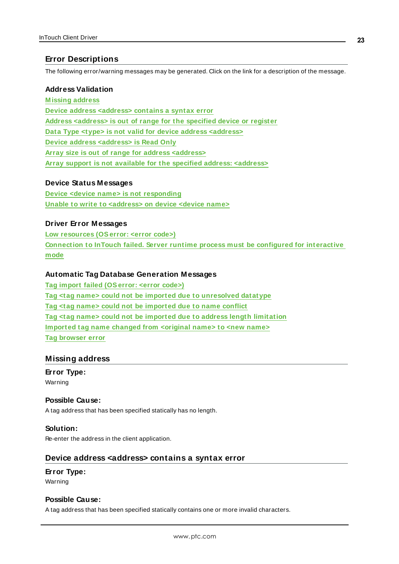# <span id="page-22-0"></span>**Error Descriptions**

The following error/warning messages may be generated. Click on the link for a description of the message.

#### **Address Validation**

**[M issing](#page-22-1) address Device address [<address>](#page-22-2) contains a syntax error Address [<address>](#page-23-0) is out of range for the specified device or register Data Type <type> is not valid for device address [<address>](#page-23-1) Device address [<address>](#page-23-2) is Read Only Array size is out of range for address [<address>](#page-23-3) Array support is not available for the specified address: [<address>](#page-24-0)**

#### **Device Status Messages**

**Device <device name> is not [responding](#page-24-1) Unable to write to [<address>](#page-24-2) on device <device name>**

## **Driver Error Messages**

**Low [resources](#page-25-0) (OSerror: <error code>) [Connection](#page-25-1) to InTouch failed. Server runtime process must be configured for interactive [mode](#page-25-1)**

## **Automatic Tag Database Generation Messages**

**Tag import failed [\(OSerror:](#page-25-2) <error code>) Tag <tag name> could not be imported due to [unresolved](#page-25-3) datatype Tag <tag name> could not be [imported](#page-26-0) due to name conflict Tag <tag name> could not be imported due to address length [limitation](#page-26-1) [Imported](#page-26-2) tag name changed from <original name> to <new name> Tag [browser](#page-26-3) error**

# <span id="page-22-1"></span>**Missing address**

**Error Type:** Warning

#### **Possible Cause:**

A tag address that has been specified statically has no length.

## **Solution:**

<span id="page-22-2"></span>Re-enter the address in the client application.

#### **Device address <address> contains a syntax error**

#### **Error Type:**

Warning

## **Possible Cause:**

A tag address that has been specified statically contains one or more invalid characters.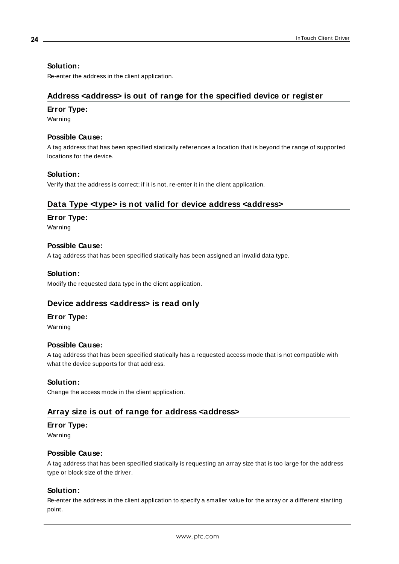## **Solution:**

<span id="page-23-0"></span>Re-enter the address in the client application.

# **Address <address> is out of range for the specified device or register**

### **Error Type:**

Warning

### **Possible Cause:**

A tag address that has been specified statically references a location that is beyond the range of supported locations for the device.

## **Solution:**

<span id="page-23-1"></span>Verify that the address is correct; if it is not, re-enter it in the client application.

# **Data Type <type> is not valid for device address <address>**

## **Error Type:**

Warning

## **Possible Cause:**

A tag address that has been specified statically has been assigned an invalid data type.

#### **Solution:**

<span id="page-23-2"></span>Modify the requested data type in the client application.

# **Device address <address> is read only**

# **Error Type:**

Warning

#### **Possible Cause:**

A tag address that has been specified statically has a requested access mode that is not compatible with what the device supports for that address.

#### **Solution:**

<span id="page-23-3"></span>Change the access mode in the client application.

# **Array size is out of range for address <address>**

#### **Error Type:**

Warning

#### **Possible Cause:**

A tag address that has been specified statically is requesting an array size that is too large for the address type or block size of the driver.

#### **Solution:**

Re-enter the address in the client application to specify a smaller value for the array or a different starting point.

**24**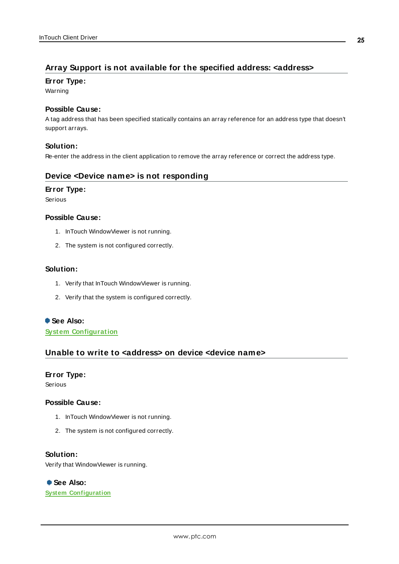# <span id="page-24-0"></span>**Array Support is not available for the specified address: <address>**

#### **Error Type:**

Warning

#### **Possible Cause:**

A tag address that has been specified statically contains an array reference for an address type that doesn't support arrays.

#### **Solution:**

<span id="page-24-1"></span>Re-enter the address in the client application to remove the array reference or correct the address type.

## **Device <Device name> is not responding**

#### **Error Type:**

Serious

#### **Possible Cause:**

- 1. InTouch WindowViewer is not running.
- 2. The system is not configured correctly.

#### **Solution:**

- 1. Verify that InTouch WindowViewer is running.
- 2. Verify that the system is configured correctly.

# **See Also:**

<span id="page-24-2"></span>**System [Configuration](#page-4-0)**

#### **Unable to write to <address> on device <device name>**

#### **Error Type:**

Serious

#### **Possible Cause:**

- 1. InTouch WindowViewer is not running.
- 2. The system is not configured correctly.

# **Solution:**

Verify that WindowViewer is running.

# **See Also:**

**System [Configuration](#page-4-0)**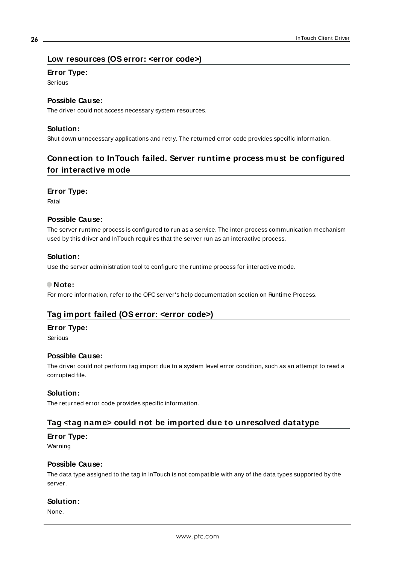## <span id="page-25-0"></span>**Low resources (OS error: <error code>)**

#### **Error Type:**

Serious

# **Possible Cause:**

The driver could not access necessary system resources.

## **Solution:**

<span id="page-25-1"></span>Shut down unnecessary applications and retry. The returned error code provides specific information.

# **Connection to InTouch failed. Server runtime process must be configured for interactive mode**

#### **Error Type:**

Fatal

#### **Possible Cause:**

The server runtime process is configured to run as a service. The inter-process communication mechanism used by this driver and InTouch requires that the server run as an interactive process.

#### **Solution:**

Use the server administration tool to configure the runtime process for interactive mode.

#### **Note:**

<span id="page-25-2"></span>For more information, refer to the OPC server's help documentation section on Runtime Process.

# **Tag import failed (OS error: <error code>)**

#### **Error Type:**

Serious

#### **Possible Cause:**

The driver could not perform tag import due to a system level error condition, such as an attempt to read a corrupted file.

#### **Solution:**

<span id="page-25-3"></span>The returned error code provides specific information.

#### **Tag <tag name> could not be imported due to unresolved datatype**

#### **Error Type:**

Warning

#### **Possible Cause:**

The data type assigned to the tag in InTouch is not compatible with any of the data types supported by the server.

#### **Solution:**

None.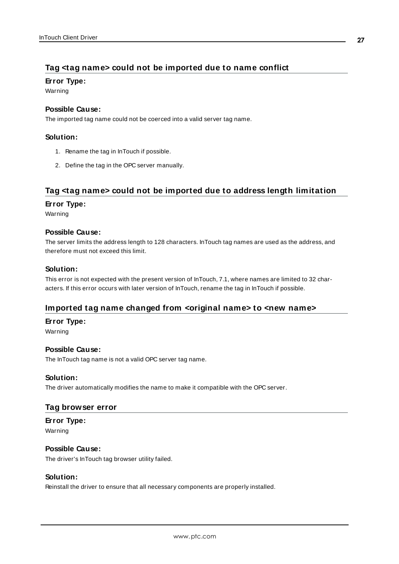# <span id="page-26-0"></span>**Tag <tag name> could not be imported due to name conflict**

## **Error Type:**

Warning

## **Possible Cause:**

The imported tag name could not be coerced into a valid server tag name.

## **Solution:**

- 1. Rename the tag in InTouch if possible.
- 2. Define the tag in the OPC server manually.

# <span id="page-26-1"></span>**Tag <tag name> could not be imported due to address length limitation**

#### **Error Type:**

Warning

# **Possible Cause:**

The server limits the address length to 128 characters. InTouch tag names are used as the address, and therefore must not exceed this limit.

## **Solution:**

This error is not expected with the present version of InTouch, 7.1, where names are limited to 32 characters. If this error occurs with later version of InTouch, rename the tag in InTouch if possible.

# <span id="page-26-2"></span>**Imported tag name changed from <original name> to <new name>**

#### **Error Type:**

Warning

#### **Possible Cause:**

The InTouch tag name is not a valid OPC server tag name.

#### **Solution:**

<span id="page-26-3"></span>The driver automatically modifies the name to make it compatible with the OPC server.

# **Tag browser error**

# **Error Type:**

Warning

#### **Possible Cause:**

The driver's InTouch tag browser utility failed.

#### **Solution:**

Reinstall the driver to ensure that all necessary components are properly installed.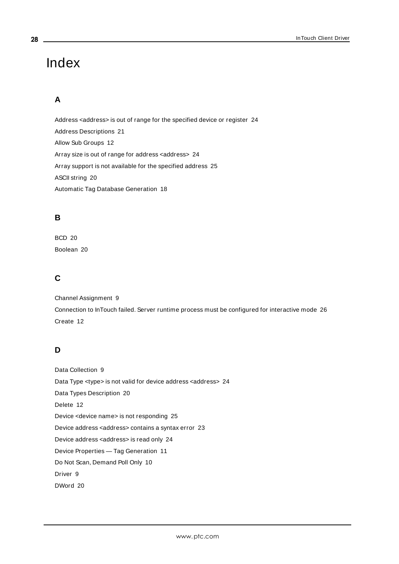# <span id="page-27-0"></span>Index

# **A**

Address <address> is out of range for the specified device or register [24](#page-23-0) Address Descriptions [21](#page-20-0) Allow Sub Groups [12](#page-11-0) Array size is out of range for address <address> [24](#page-23-3) Array support is not available for the specified address [25](#page-24-0) ASCII string [20](#page-19-1) Automatic Tag Database Generation [18](#page-17-0)

# **B**

BCD [20](#page-19-2) Boolean [20](#page-19-3)

# **C**

Channel Assignment [9](#page-8-1) Connection to InTouch failed. Server runtime process must be configured for interactive mode [26](#page-25-1) Create [12](#page-11-1)

# **D**

Data Collection [9](#page-8-2) Data Type <type> is not valid for device address <address> [24](#page-23-1) Data Types Description [20](#page-19-0) Delete [12](#page-11-2) Device <device name> is not responding [25](#page-24-1) Device address <address> contains a syntax error [23](#page-22-2) Device address <address> is read only [24](#page-23-2) Device Properties — Tag Generation [11](#page-10-0) Do Not Scan, Demand Poll Only [10](#page-9-1) Driver [9](#page-8-3) DWord [20](#page-19-4)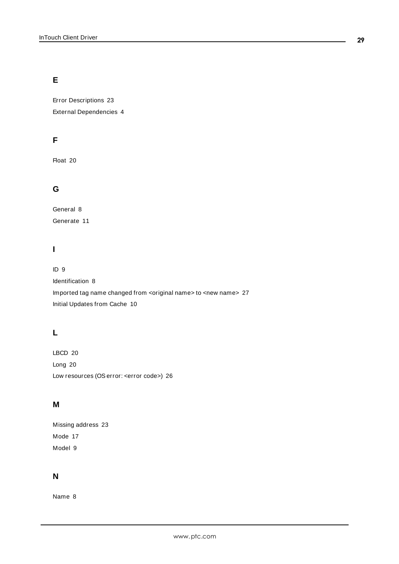# **E**

Error Descriptions [23](#page-22-0) External Dependencies [4](#page-3-2)

# **F**

Float [20](#page-19-5)

# **G**

General [8](#page-7-1) Generate [11](#page-10-1)

# **I**

# ID [9](#page-8-4)

Identification [8](#page-7-1) Imported tag name changed from <original name> to <new name> [27](#page-26-2) Initial Updates from Cache [10](#page-9-2)

# **L**

LBCD [20](#page-19-6) Long [20](#page-19-7) Low resources (OSerror: <error code>) [26](#page-25-0)

# **M**

Missing address [23](#page-22-1) Mode [17](#page-16-0) Model [9](#page-8-5)

# **N**

Name [8](#page-7-2)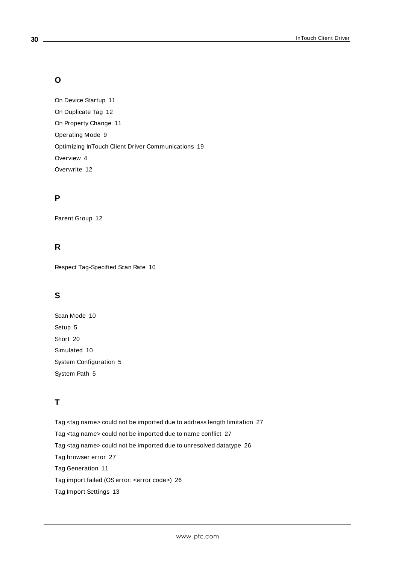# **O**

On Device Startup [11](#page-10-2) On Duplicate Tag [12](#page-11-3) On Property Change [11](#page-10-3) Operating Mode [9](#page-8-0) Optimizing InTouch Client Driver Communications [19](#page-18-0) Overview [4](#page-3-1) Overwrite [12](#page-11-4)

# **P**

Parent Group [12](#page-11-5)

# **R**

Respect Tag-Specified Scan Rate [10](#page-9-3)

# **S**

Scan Mode [10](#page-9-4) Setup [5](#page-4-1) Short [20](#page-19-8) Simulated [10](#page-9-5) System Configuration [5](#page-4-0) System Path [5](#page-4-2)

# **T**

Tag <tag name> could not be imported due to address length limitation [27](#page-26-1) Tag <tag name> could not be imported due to name conflict [27](#page-26-0) Tag <tag name> could not be imported due to unresolved datatype [26](#page-25-3) Tag browser error [27](#page-26-3) Tag Generation [11](#page-10-0) Tag import failed (OSerror: <error code>) [26](#page-25-2) Tag Import Settings [13](#page-12-0)